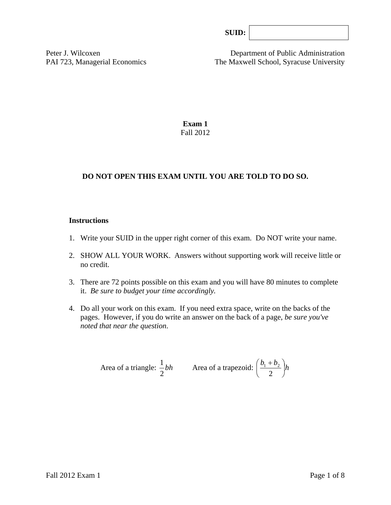Peter J. Wilcoxen Department of Public Administration PAI 723, Managerial Economics The Maxwell School, Syracuse University

> **Exam 1**  Fall 2012

# **DO NOT OPEN THIS EXAM UNTIL YOU ARE TOLD TO DO SO.**

### **Instructions**

- 1. Write your SUID in the upper right corner of this exam. Do NOT write your name.
- 2. SHOW ALL YOUR WORK. Answers without supporting work will receive little or no credit.
- 3. There are 72 points possible on this exam and you will have 80 minutes to complete it. *Be sure to budget your time accordingly.*
- 4. Do all your work on this exam. If you need extra space, write on the backs of the pages. However, if you do write an answer on the back of a page, *be sure you've noted that near the question*.

Area of a triangle: 
$$
\frac{1}{2}bh
$$
 Area of a trapezoid:  $\left(\frac{b_1 + b_2}{2}\right)h$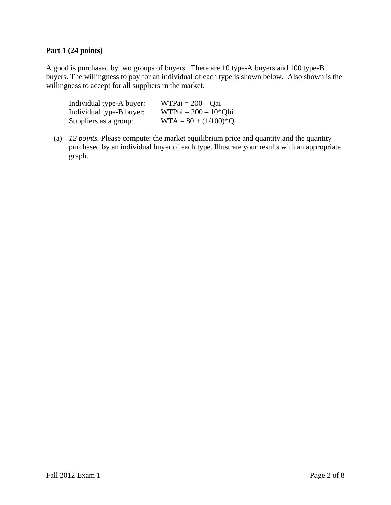# **Part 1 (24 points)**

A good is purchased by two groups of buyers. There are 10 type-A buyers and 100 type-B buyers. The willingness to pay for an individual of each type is shown below. Also shown is the willingness to accept for all suppliers in the market.

| Individual type-A buyer: | $WTPai = 200 - Qai$    |
|--------------------------|------------------------|
| Individual type-B buyer: | $WTPbi = 200 - 10*Qbi$ |
| Suppliers as a group:    | $WTA = 80 + (1/100)*Q$ |

(a) *12 points.* Please compute: the market equilibrium price and quantity and the quantity purchased by an individual buyer of each type. Illustrate your results with an appropriate graph.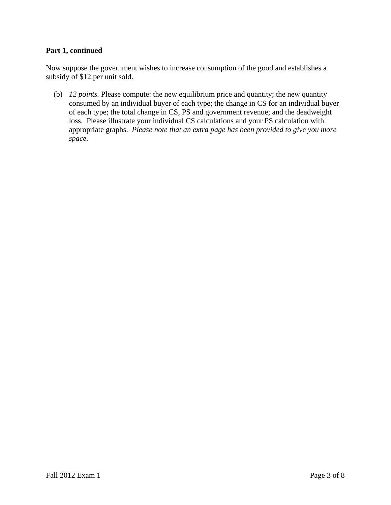### **Part 1, continued**

Now suppose the government wishes to increase consumption of the good and establishes a subsidy of \$12 per unit sold.

(b) *12 points.* Please compute: the new equilibrium price and quantity; the new quantity consumed by an individual buyer of each type; the change in CS for an individual buyer of each type; the total change in CS, PS and government revenue; and the deadweight loss. Please illustrate your individual CS calculations and your PS calculation with appropriate graphs. *Please note that an extra page has been provided to give you more space.*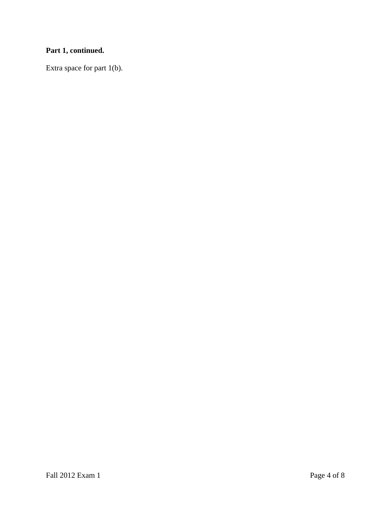# **Part 1, continued.**

Extra space for part 1(b).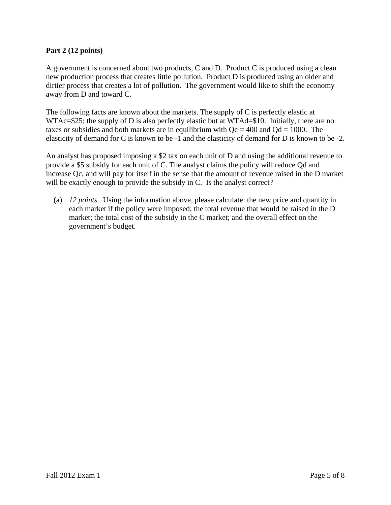# **Part 2 (12 points)**

A government is concerned about two products, C and D. Product C is produced using a clean new production process that creates little pollution. Product D is produced using an older and dirtier process that creates a lot of pollution. The government would like to shift the economy away from D and toward C.

The following facts are known about the markets. The supply of C is perfectly elastic at WTAc=\$25; the supply of D is also perfectly elastic but at WTAd=\$10. Initially, there are no taxes or subsidies and both markets are in equilibrium with  $Qc = 400$  and  $Qd = 1000$ . The elasticity of demand for C is known to be -1 and the elasticity of demand for D is known to be -2.

An analyst has proposed imposing a \$2 tax on each unit of D and using the additional revenue to provide a \$5 subsidy for each unit of C. The analyst claims the policy will reduce Qd and increase Qc, and will pay for itself in the sense that the amount of revenue raised in the D market will be exactly enough to provide the subsidy in C. Is the analyst correct?

 (a) *12 points*. Using the information above, please calculate: the new price and quantity in each market if the policy were imposed; the total revenue that would be raised in the D market; the total cost of the subsidy in the C market; and the overall effect on the government's budget.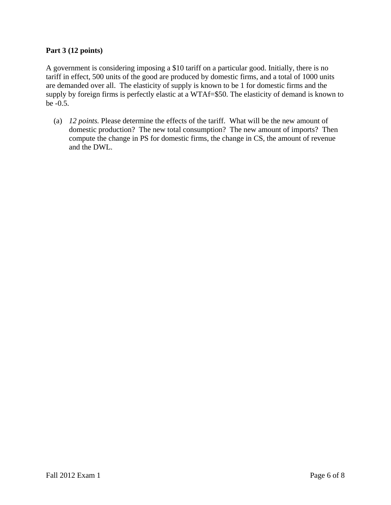# **Part 3 (12 points)**

A government is considering imposing a \$10 tariff on a particular good. Initially, there is no tariff in effect, 500 units of the good are produced by domestic firms, and a total of 1000 units are demanded over all. The elasticity of supply is known to be 1 for domestic firms and the supply by foreign firms is perfectly elastic at a WTAf=\$50. The elasticity of demand is known to be -0.5.

 (a) *12 points.* Please determine the effects of the tariff. What will be the new amount of domestic production? The new total consumption? The new amount of imports? Then compute the change in PS for domestic firms, the change in CS, the amount of revenue and the DWL.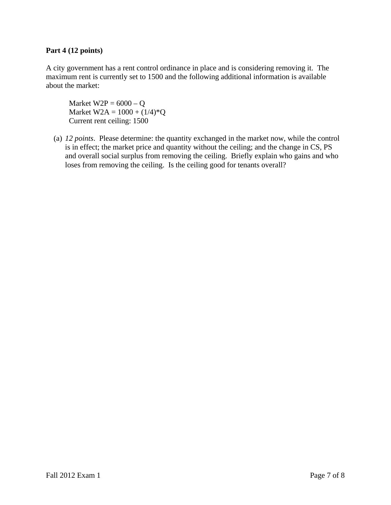## **Part 4 (12 points)**

A city government has a rent control ordinance in place and is considering removing it. The maximum rent is currently set to 1500 and the following additional information is available about the market:

Market  $W2P = 6000 - Q$ Market  $W2A = 1000 + (1/4)*Q$ Current rent ceiling: 1500

(a) *12 points*. Please determine: the quantity exchanged in the market now, while the control is in effect; the market price and quantity without the ceiling; and the change in CS, PS and overall social surplus from removing the ceiling. Briefly explain who gains and who loses from removing the ceiling. Is the ceiling good for tenants overall?